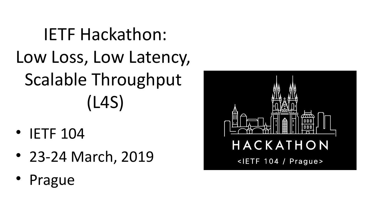#### IETF Hackathon: Low Loss, Low Latency, Scalable Throughput (L4S)

- IETF 104
- 23-24 March, 2019
- Prague

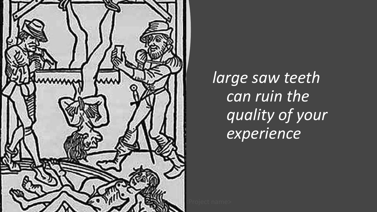

*large saw teeth can ruin the quality of your experience*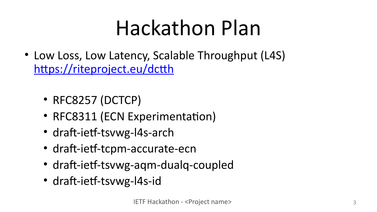### Hackathon Plan

- Low Loss, Low Latency, Scalable Throughput (L4S) <https://riteproject.eu/dctth>
	- RFC8257 (DCTCP)
	- RFC8311 (ECN Experimentation)
	- draft-ietf-tsvwg-l4s-arch
	- draft-ietf-tcpm-accurate-ecn
	- draft-ietf-tsvwg-aqm-dualq-coupled
	- draft-ietf-tsvwg-l4s-id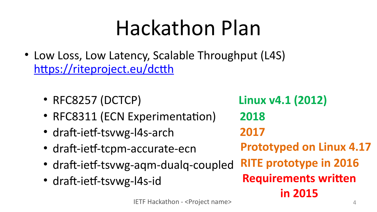### Hackathon Plan

- Low Loss, Low Latency, Scalable Throughput (L4S) <https://riteproject.eu/dctth>
	- RFC8257 (DCTCP)
	- RFC8311 (ECN Experimentation)
	- draft-ietf-tsvwg-l4s-arch
	- draft-ietf-tcpm-accurate-ecn
	- draft-ietf-tsvwg-aqm-dualq-coupled
	- draft-ietf-tsvwg-l4s-id

**Linux v4.1 (2012) 2018 2017 Prototyped on Linux 4.17 RITE prototype in 2016 Requirements written in 2015**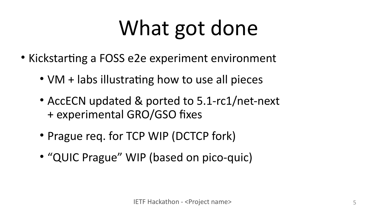## What got done

- Kickstarting a FOSS e2e experiment environment
	- VM + labs illustrating how to use all pieces
	- AccECN updated & ported to 5.1-rc1/net-next + experimental GRO/GSO fixes
	- Prague req. for TCP WIP (DCTCP fork)
	- "QUIC Prague" WIP (based on pico-quic)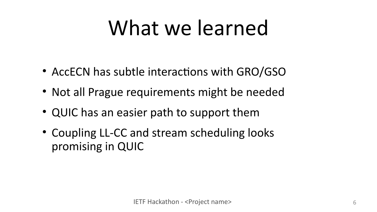### What we learned

- AccECN has subtle interactions with GRO/GSO
- Not all Prague requirements might be needed
- QUIC has an easier path to support them
- Coupling LL-CC and stream scheduling looks promising in QUIC